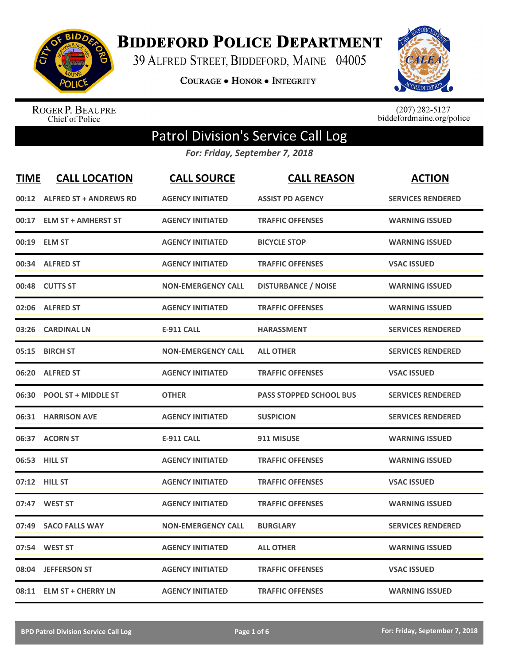

## **BIDDEFORD POLICE DEPARTMENT**

39 ALFRED STREET, BIDDEFORD, MAINE 04005

**COURAGE . HONOR . INTEGRITY** 



ROGER P. BEAUPRE<br>Chief of Police

 $(207)$  282-5127<br>biddefordmaine.org/police

## Patrol Division's Service Call Log

*For: Friday, September 7, 2018*

| <b>TIME</b> | <b>CALL LOCATION</b>         | <b>CALL SOURCE</b>        | <b>CALL REASON</b>             | <b>ACTION</b>            |
|-------------|------------------------------|---------------------------|--------------------------------|--------------------------|
|             | 00:12 ALFRED ST + ANDREWS RD | <b>AGENCY INITIATED</b>   | <b>ASSIST PD AGENCY</b>        | <b>SERVICES RENDERED</b> |
| 00:17       | <b>ELM ST + AMHERST ST</b>   | <b>AGENCY INITIATED</b>   | <b>TRAFFIC OFFENSES</b>        | <b>WARNING ISSUED</b>    |
| 00:19       | <b>ELM ST</b>                | <b>AGENCY INITIATED</b>   | <b>BICYCLE STOP</b>            | <b>WARNING ISSUED</b>    |
| 00:34       | <b>ALFRED ST</b>             | <b>AGENCY INITIATED</b>   | <b>TRAFFIC OFFENSES</b>        | <b>VSAC ISSUED</b>       |
| 00:48       | <b>CUTTS ST</b>              | <b>NON-EMERGENCY CALL</b> | <b>DISTURBANCE / NOISE</b>     | <b>WARNING ISSUED</b>    |
| 02:06       | <b>ALFRED ST</b>             | <b>AGENCY INITIATED</b>   | <b>TRAFFIC OFFENSES</b>        | <b>WARNING ISSUED</b>    |
| 03:26       | <b>CARDINAL LN</b>           | <b>E-911 CALL</b>         | <b>HARASSMENT</b>              | <b>SERVICES RENDERED</b> |
| 05:15       | <b>BIRCH ST</b>              | <b>NON-EMERGENCY CALL</b> | <b>ALL OTHER</b>               | <b>SERVICES RENDERED</b> |
| 06:20       | <b>ALFRED ST</b>             | <b>AGENCY INITIATED</b>   | <b>TRAFFIC OFFENSES</b>        | <b>VSAC ISSUED</b>       |
| 06:30       | <b>POOL ST + MIDDLE ST</b>   | <b>OTHER</b>              | <b>PASS STOPPED SCHOOL BUS</b> | <b>SERVICES RENDERED</b> |
|             | 06:31 HARRISON AVE           | <b>AGENCY INITIATED</b>   | <b>SUSPICION</b>               | <b>SERVICES RENDERED</b> |
|             | 06:37 ACORN ST               | <b>E-911 CALL</b>         | 911 MISUSE                     | <b>WARNING ISSUED</b>    |
|             | 06:53 HILL ST                | <b>AGENCY INITIATED</b>   | <b>TRAFFIC OFFENSES</b>        | <b>WARNING ISSUED</b>    |
| 07:12       | <b>HILL ST</b>               | <b>AGENCY INITIATED</b>   | <b>TRAFFIC OFFENSES</b>        | <b>VSAC ISSUED</b>       |
| 07:47       | <b>WEST ST</b>               | <b>AGENCY INITIATED</b>   | <b>TRAFFIC OFFENSES</b>        | <b>WARNING ISSUED</b>    |
| 07:49       | <b>SACO FALLS WAY</b>        | <b>NON-EMERGENCY CALL</b> | <b>BURGLARY</b>                | <b>SERVICES RENDERED</b> |
| 07:54       | <b>WEST ST</b>               | <b>AGENCY INITIATED</b>   | <b>ALL OTHER</b>               | <b>WARNING ISSUED</b>    |
| 08:04       | <b>JEFFERSON ST</b>          | <b>AGENCY INITIATED</b>   | <b>TRAFFIC OFFENSES</b>        | <b>VSAC ISSUED</b>       |
|             | 08:11 ELM ST + CHERRY LN     | <b>AGENCY INITIATED</b>   | <b>TRAFFIC OFFENSES</b>        | <b>WARNING ISSUED</b>    |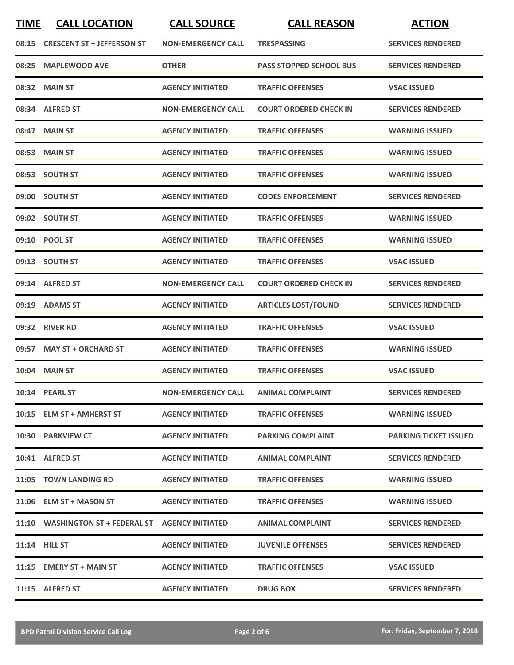| <b>TIME</b> | <b>CALL LOCATION</b>                              | <b>CALL SOURCE</b>        | <b>CALL REASON</b>             | <b>ACTION</b>                |
|-------------|---------------------------------------------------|---------------------------|--------------------------------|------------------------------|
| 08:15       | <b>CRESCENT ST + JEFFERSON ST</b>                 | <b>NON-EMERGENCY CALL</b> | <b>TRESPASSING</b>             | <b>SERVICES RENDERED</b>     |
| 08:25       | <b>MAPLEWOOD AVE</b>                              | <b>OTHER</b>              | <b>PASS STOPPED SCHOOL BUS</b> | <b>SERVICES RENDERED</b>     |
|             | 08:32 MAIN ST                                     | <b>AGENCY INITIATED</b>   | <b>TRAFFIC OFFENSES</b>        | <b>VSAC ISSUED</b>           |
|             | 08:34 ALFRED ST                                   | <b>NON-EMERGENCY CALL</b> | <b>COURT ORDERED CHECK IN</b>  | <b>SERVICES RENDERED</b>     |
|             | 08:47 MAIN ST                                     | <b>AGENCY INITIATED</b>   | <b>TRAFFIC OFFENSES</b>        | <b>WARNING ISSUED</b>        |
|             | 08:53 MAIN ST                                     | <b>AGENCY INITIATED</b>   | <b>TRAFFIC OFFENSES</b>        | <b>WARNING ISSUED</b>        |
| 08:53       | <b>SOUTH ST</b>                                   | <b>AGENCY INITIATED</b>   | <b>TRAFFIC OFFENSES</b>        | <b>WARNING ISSUED</b>        |
|             | 09:00 SOUTH ST                                    | <b>AGENCY INITIATED</b>   | <b>CODES ENFORCEMENT</b>       | <b>SERVICES RENDERED</b>     |
|             | 09:02 SOUTH ST                                    | <b>AGENCY INITIATED</b>   | <b>TRAFFIC OFFENSES</b>        | <b>WARNING ISSUED</b>        |
|             | 09:10 POOL ST                                     | <b>AGENCY INITIATED</b>   | <b>TRAFFIC OFFENSES</b>        | <b>WARNING ISSUED</b>        |
|             | 09:13 SOUTH ST                                    | <b>AGENCY INITIATED</b>   | <b>TRAFFIC OFFENSES</b>        | <b>VSAC ISSUED</b>           |
|             | 09:14 ALFRED ST                                   | <b>NON-EMERGENCY CALL</b> | <b>COURT ORDERED CHECK IN</b>  | <b>SERVICES RENDERED</b>     |
| 09:19       | <b>ADAMS ST</b>                                   | <b>AGENCY INITIATED</b>   | <b>ARTICLES LOST/FOUND</b>     | <b>SERVICES RENDERED</b>     |
| 09:32       | <b>RIVER RD</b>                                   | <b>AGENCY INITIATED</b>   | <b>TRAFFIC OFFENSES</b>        | <b>VSAC ISSUED</b>           |
|             | 09:57 MAY ST + ORCHARD ST                         | <b>AGENCY INITIATED</b>   | <b>TRAFFIC OFFENSES</b>        | <b>WARNING ISSUED</b>        |
|             | <b>10:04 MAIN ST</b>                              | <b>AGENCY INITIATED</b>   | <b>TRAFFIC OFFENSES</b>        | <b>VSAC ISSUED</b>           |
|             | 10:14 PEARL ST                                    | <b>NON-EMERGENCY CALL</b> | <b>ANIMAL COMPLAINT</b>        | <b>SERVICES RENDERED</b>     |
|             | 10:15 ELM ST + AMHERST ST                         | <b>AGENCY INITIATED</b>   | <b>TRAFFIC OFFENSES</b>        | <b>WARNING ISSUED</b>        |
|             | 10:30 PARKVIEW CT                                 | <b>AGENCY INITIATED</b>   | <b>PARKING COMPLAINT</b>       | <b>PARKING TICKET ISSUED</b> |
|             | 10:41 ALFRED ST                                   | <b>AGENCY INITIATED</b>   | <b>ANIMAL COMPLAINT</b>        | <b>SERVICES RENDERED</b>     |
|             | 11:05 TOWN LANDING RD                             | <b>AGENCY INITIATED</b>   | <b>TRAFFIC OFFENSES</b>        | <b>WARNING ISSUED</b>        |
|             | 11:06 ELM ST + MASON ST                           | <b>AGENCY INITIATED</b>   | <b>TRAFFIC OFFENSES</b>        | <b>WARNING ISSUED</b>        |
|             | 11:10 WASHINGTON ST + FEDERAL ST AGENCY INITIATED |                           | <b>ANIMAL COMPLAINT</b>        | <b>SERVICES RENDERED</b>     |
|             | $11:14$ HILL ST                                   | <b>AGENCY INITIATED</b>   | <b>JUVENILE OFFENSES</b>       | <b>SERVICES RENDERED</b>     |
|             | 11:15 EMERY ST + MAIN ST                          | <b>AGENCY INITIATED</b>   | <b>TRAFFIC OFFENSES</b>        | <b>VSAC ISSUED</b>           |
|             | 11:15 ALFRED ST                                   | <b>AGENCY INITIATED</b>   | <b>DRUG BOX</b>                | <b>SERVICES RENDERED</b>     |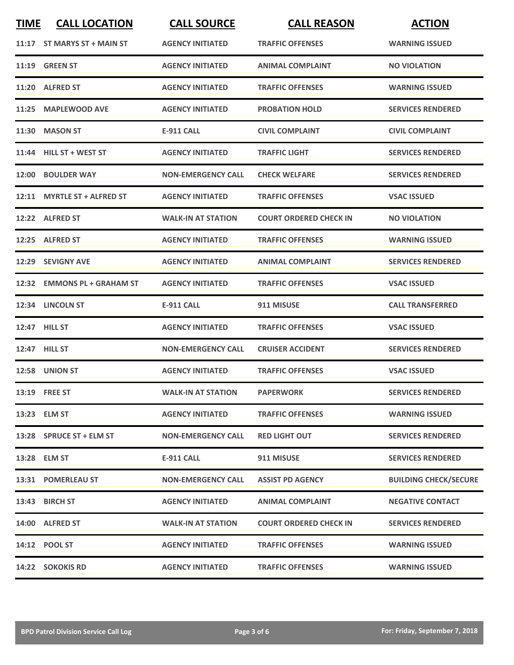| <b>TIME</b> | <b>CALL LOCATION</b>         | <b>CALL SOURCE</b>        | <b>CALL REASON</b>            | <b>ACTION</b>                |
|-------------|------------------------------|---------------------------|-------------------------------|------------------------------|
| 11:17       | ST MARYS ST + MAIN ST        | <b>AGENCY INITIATED</b>   | <b>TRAFFIC OFFENSES</b>       | <b>WARNING ISSUED</b>        |
|             | <b>11:19 GREEN ST</b>        | <b>AGENCY INITIATED</b>   | <b>ANIMAL COMPLAINT</b>       | <b>NO VIOLATION</b>          |
|             | 11:20 ALFRED ST              | <b>AGENCY INITIATED</b>   | <b>TRAFFIC OFFENSES</b>       | <b>WARNING ISSUED</b>        |
| 11:25       | <b>MAPLEWOOD AVE</b>         | <b>AGENCY INITIATED</b>   | <b>PROBATION HOLD</b>         | <b>SERVICES RENDERED</b>     |
| 11:30       | <b>MASON ST</b>              | <b>E-911 CALL</b>         | <b>CIVIL COMPLAINT</b>        | <b>CIVIL COMPLAINT</b>       |
| 11:44       | <b>HILL ST + WEST ST</b>     | <b>AGENCY INITIATED</b>   | <b>TRAFFIC LIGHT</b>          | <b>SERVICES RENDERED</b>     |
| 12:00       | <b>BOULDER WAY</b>           | <b>NON-EMERGENCY CALL</b> | <b>CHECK WELFARE</b>          | <b>SERVICES RENDERED</b>     |
| 12:11       | <b>MYRTLE ST + ALFRED ST</b> | <b>AGENCY INITIATED</b>   | <b>TRAFFIC OFFENSES</b>       | <b>VSAC ISSUED</b>           |
|             | 12:22 ALFRED ST              | <b>WALK-IN AT STATION</b> | <b>COURT ORDERED CHECK IN</b> | <b>NO VIOLATION</b>          |
| 12:25       | <b>ALFRED ST</b>             | <b>AGENCY INITIATED</b>   | <b>TRAFFIC OFFENSES</b>       | <b>WARNING ISSUED</b>        |
| 12:29       | <b>SEVIGNY AVE</b>           | <b>AGENCY INITIATED</b>   | <b>ANIMAL COMPLAINT</b>       | <b>SERVICES RENDERED</b>     |
| 12:32       | <b>EMMONS PL + GRAHAM ST</b> | <b>AGENCY INITIATED</b>   | <b>TRAFFIC OFFENSES</b>       | <b>VSAC ISSUED</b>           |
|             | 12:34 LINCOLN ST             | <b>E-911 CALL</b>         | 911 MISUSE                    | <b>CALL TRANSFERRED</b>      |
|             | 12:47 HILL ST                | <b>AGENCY INITIATED</b>   | <b>TRAFFIC OFFENSES</b>       | <b>VSAC ISSUED</b>           |
|             | 12:47 HILL ST                | <b>NON-EMERGENCY CALL</b> | <b>CRUISER ACCIDENT</b>       | <b>SERVICES RENDERED</b>     |
|             | 12:58 UNION ST               | <b>AGENCY INITIATED</b>   | <b>TRAFFIC OFFENSES</b>       | <b>VSAC ISSUED</b>           |
|             | <b>13:19 FREE ST</b>         | WALK-IN AT STATION        | <b>PAPERWORK</b>              | <b>SERVICES RENDERED</b>     |
|             | 13:23 ELM ST                 | <b>AGENCY INITIATED</b>   | <b>TRAFFIC OFFENSES</b>       | <b>WARNING ISSUED</b>        |
|             | 13:28 SPRUCE ST + ELM ST     | <b>NON-EMERGENCY CALL</b> | <b>RED LIGHT OUT</b>          | <b>SERVICES RENDERED</b>     |
|             | 13:28 ELM ST                 | E-911 CALL                | 911 MISUSE                    | <b>SERVICES RENDERED</b>     |
|             | 13:31 POMERLEAU ST           | <b>NON-EMERGENCY CALL</b> | <b>ASSIST PD AGENCY</b>       | <b>BUILDING CHECK/SECURE</b> |
|             | 13:43 BIRCH ST               | <b>AGENCY INITIATED</b>   | <b>ANIMAL COMPLAINT</b>       | <b>NEGATIVE CONTACT</b>      |
|             | 14:00 ALFRED ST              | <b>WALK-IN AT STATION</b> | <b>COURT ORDERED CHECK IN</b> | <b>SERVICES RENDERED</b>     |
|             | 14:12 POOL ST                | <b>AGENCY INITIATED</b>   | <b>TRAFFIC OFFENSES</b>       | <b>WARNING ISSUED</b>        |
|             | 14:22 SOKOKIS RD             | <b>AGENCY INITIATED</b>   | <b>TRAFFIC OFFENSES</b>       | <b>WARNING ISSUED</b>        |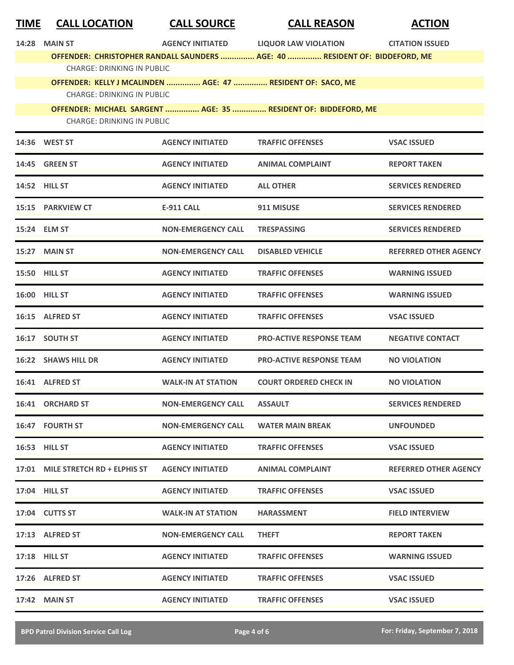| <b>TIME</b> | <b>CALL LOCATION</b> | <b>CALL SOURCE</b> | <b>CALL REASON</b> | <b>ACTION</b> |
|-------------|----------------------|--------------------|--------------------|---------------|
|-------------|----------------------|--------------------|--------------------|---------------|

**14:28 AGENCY MAIN ST INITIATED LIQUOR LAW VIOLATION CITATION ISSUED OFFENDER: CHRISTOPHER RANDALL SAUNDERS ............... AGE: 40 ............... RESIDENT OF: BIDDEFORD, ME** CHARGE: DRINKING IN PUBLIC

**OFFENDER: KELLY J MCALINDEN ............... AGE: 47 ............... RESIDENT OF: SACO, ME** CHARGE: DRINKING IN PUBLIC

**OFFENDER: MICHAEL SARGENT ............... AGE: 35 ............... RESIDENT OF: BIDDEFORD, ME** CHARGE: DRINKING IN PUBLIC

|       | 14:36 WEST ST               | <b>AGENCY INITIATED</b>   | <b>TRAFFIC OFFENSES</b>         | <b>VSAC ISSUED</b>           |
|-------|-----------------------------|---------------------------|---------------------------------|------------------------------|
| 14:45 | <b>GREEN ST</b>             | <b>AGENCY INITIATED</b>   | <b>ANIMAL COMPLAINT</b>         | <b>REPORT TAKEN</b>          |
|       | <b>14:52 HILL ST</b>        | <b>AGENCY INITIATED</b>   | <b>ALL OTHER</b>                | <b>SERVICES RENDERED</b>     |
|       | 15:15 PARKVIEW CT           | <b>E-911 CALL</b>         | 911 MISUSE                      | <b>SERVICES RENDERED</b>     |
|       | 15:24 ELM ST                | NON-EMERGENCY CALL        | <b>TRESPASSING</b>              | <b>SERVICES RENDERED</b>     |
|       | 15:27 MAIN ST               | NON-EMERGENCY CALL        | <b>DISABLED VEHICLE</b>         | <b>REFERRED OTHER AGENCY</b> |
|       | <b>15:50 HILL ST</b>        | <b>AGENCY INITIATED</b>   | <b>TRAFFIC OFFENSES</b>         | <b>WARNING ISSUED</b>        |
|       | 16:00 HILL ST               | <b>AGENCY INITIATED</b>   | <b>TRAFFIC OFFENSES</b>         | <b>WARNING ISSUED</b>        |
|       | 16:15 ALFRED ST             | <b>AGENCY INITIATED</b>   | <b>TRAFFIC OFFENSES</b>         | <b>VSAC ISSUED</b>           |
|       | 16:17 SOUTH ST              | <b>AGENCY INITIATED</b>   | <b>PRO-ACTIVE RESPONSE TEAM</b> | <b>NEGATIVE CONTACT</b>      |
|       | <b>16:22 SHAWS HILL DR</b>  | <b>AGENCY INITIATED</b>   | <b>PRO-ACTIVE RESPONSE TEAM</b> | <b>NO VIOLATION</b>          |
|       | 16:41 ALFRED ST             | <b>WALK-IN AT STATION</b> | <b>COURT ORDERED CHECK IN</b>   | <b>NO VIOLATION</b>          |
| 16:41 | <b>ORCHARD ST</b>           | <b>NON-EMERGENCY CALL</b> | <b>ASSAULT</b>                  | <b>SERVICES RENDERED</b>     |
|       | <b>16:47 FOURTH ST</b>      | <b>NON-EMERGENCY CALL</b> | <b>WATER MAIN BREAK</b>         | <b>UNFOUNDED</b>             |
|       | <b>16:53 HILL ST</b>        | <b>AGENCY INITIATED</b>   | <b>TRAFFIC OFFENSES</b>         | <b>VSAC ISSUED</b>           |
| 17:01 | MILE STRETCH RD + ELPHIS ST | <b>AGENCY INITIATED</b>   | <b>ANIMAL COMPLAINT</b>         | <b>REFERRED OTHER AGENCY</b> |
|       | 17:04 HILL ST               | <b>AGENCY INITIATED</b>   | <b>TRAFFIC OFFENSES</b>         | <b>VSAC ISSUED</b>           |
|       | 17:04 CUTTS ST              | <b>WALK-IN AT STATION</b> | <b>HARASSMENT</b>               | <b>FIELD INTERVIEW</b>       |
|       | 17:13 ALFRED ST             | <b>NON-EMERGENCY CALL</b> | <b>THEFT</b>                    | <b>REPORT TAKEN</b>          |
|       | 17:18 HILL ST               | <b>AGENCY INITIATED</b>   | <b>TRAFFIC OFFENSES</b>         | <b>WARNING ISSUED</b>        |
|       | 17:26 ALFRED ST             | <b>AGENCY INITIATED</b>   | <b>TRAFFIC OFFENSES</b>         | <b>VSAC ISSUED</b>           |
|       | 17:42 MAIN ST               | <b>AGENCY INITIATED</b>   | <b>TRAFFIC OFFENSES</b>         | <b>VSAC ISSUED</b>           |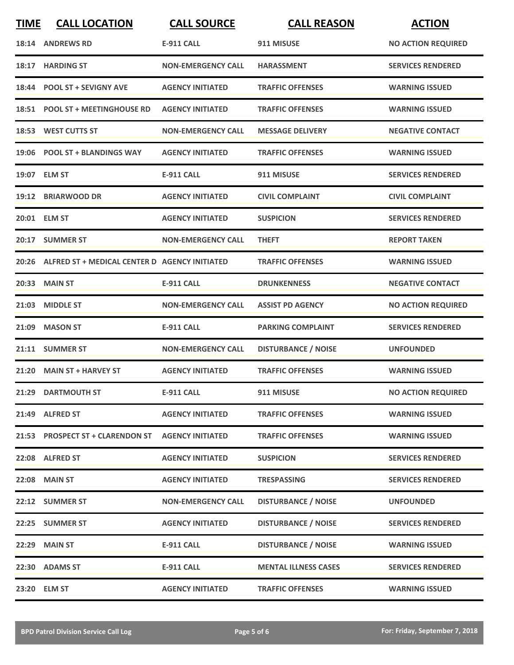| <b>TIME</b> | <b>CALL LOCATION</b>                          | <b>CALL SOURCE</b>        | <b>CALL REASON</b>          | <b>ACTION</b>             |
|-------------|-----------------------------------------------|---------------------------|-----------------------------|---------------------------|
|             | 18:14 ANDREWS RD                              | <b>E-911 CALL</b>         | 911 MISUSE                  | <b>NO ACTION REQUIRED</b> |
|             | 18:17 HARDING ST                              | <b>NON-EMERGENCY CALL</b> | <b>HARASSMENT</b>           | <b>SERVICES RENDERED</b>  |
|             | 18:44 POOL ST + SEVIGNY AVE                   | <b>AGENCY INITIATED</b>   | <b>TRAFFIC OFFENSES</b>     | <b>WARNING ISSUED</b>     |
|             | 18:51 POOL ST + MEETINGHOUSE RD               | <b>AGENCY INITIATED</b>   | <b>TRAFFIC OFFENSES</b>     | <b>WARNING ISSUED</b>     |
|             | 18:53 WEST CUTTS ST                           | <b>NON-EMERGENCY CALL</b> | <b>MESSAGE DELIVERY</b>     | <b>NEGATIVE CONTACT</b>   |
|             | 19:06 POOL ST + BLANDINGS WAY                 | <b>AGENCY INITIATED</b>   | <b>TRAFFIC OFFENSES</b>     | <b>WARNING ISSUED</b>     |
|             | 19:07 ELM ST                                  | <b>E-911 CALL</b>         | 911 MISUSE                  | <b>SERVICES RENDERED</b>  |
|             | 19:12 BRIARWOOD DR                            | <b>AGENCY INITIATED</b>   | <b>CIVIL COMPLAINT</b>      | <b>CIVIL COMPLAINT</b>    |
|             | 20:01 ELM ST                                  | <b>AGENCY INITIATED</b>   | <b>SUSPICION</b>            | <b>SERVICES RENDERED</b>  |
|             | 20:17 SUMMER ST                               | <b>NON-EMERGENCY CALL</b> | <b>THEFT</b>                | <b>REPORT TAKEN</b>       |
| 20:26       | ALFRED ST + MEDICAL CENTER D AGENCY INITIATED |                           | <b>TRAFFIC OFFENSES</b>     | <b>WARNING ISSUED</b>     |
|             | 20:33 MAIN ST                                 | <b>E-911 CALL</b>         | <b>DRUNKENNESS</b>          | <b>NEGATIVE CONTACT</b>   |
| 21:03       | <b>MIDDLE ST</b>                              | <b>NON-EMERGENCY CALL</b> | <b>ASSIST PD AGENCY</b>     | <b>NO ACTION REQUIRED</b> |
| 21:09       | <b>MASON ST</b>                               | <b>E-911 CALL</b>         | <b>PARKING COMPLAINT</b>    | <b>SERVICES RENDERED</b>  |
|             | 21:11 SUMMER ST                               | <b>NON-EMERGENCY CALL</b> | <b>DISTURBANCE / NOISE</b>  | <b>UNFOUNDED</b>          |
|             | 21:20 MAIN ST + HARVEY ST                     | <b>AGENCY INITIATED</b>   | <b>TRAFFIC OFFENSES</b>     | <b>WARNING ISSUED</b>     |
|             | 21:29 DARTMOUTH ST                            | <b>E-911 CALL</b>         | 911 MISUSE                  | <b>NO ACTION REQUIRED</b> |
|             | 21:49 ALFRED ST                               | <b>AGENCY INITIATED</b>   | <b>TRAFFIC OFFENSES</b>     | <b>WARNING ISSUED</b>     |
|             | 21:53 PROSPECT ST + CLARENDON ST              | <b>AGENCY INITIATED</b>   | <b>TRAFFIC OFFENSES</b>     | <b>WARNING ISSUED</b>     |
|             | 22:08 ALFRED ST                               | <b>AGENCY INITIATED</b>   | <b>SUSPICION</b>            | <b>SERVICES RENDERED</b>  |
|             | <b>22:08 MAIN ST</b>                          | <b>AGENCY INITIATED</b>   | <b>TRESPASSING</b>          | <b>SERVICES RENDERED</b>  |
|             | 22:12 SUMMER ST                               | <b>NON-EMERGENCY CALL</b> | <b>DISTURBANCE / NOISE</b>  | <b>UNFOUNDED</b>          |
|             | 22:25 SUMMER ST                               | <b>AGENCY INITIATED</b>   | <b>DISTURBANCE / NOISE</b>  | <b>SERVICES RENDERED</b>  |
|             | <b>22:29 MAIN ST</b>                          | <b>E-911 CALL</b>         | <b>DISTURBANCE / NOISE</b>  | <b>WARNING ISSUED</b>     |
|             | 22:30 ADAMS ST                                | <b>E-911 CALL</b>         | <b>MENTAL ILLNESS CASES</b> | <b>SERVICES RENDERED</b>  |
|             | 23:20 ELM ST                                  | <b>AGENCY INITIATED</b>   | <b>TRAFFIC OFFENSES</b>     | <b>WARNING ISSUED</b>     |